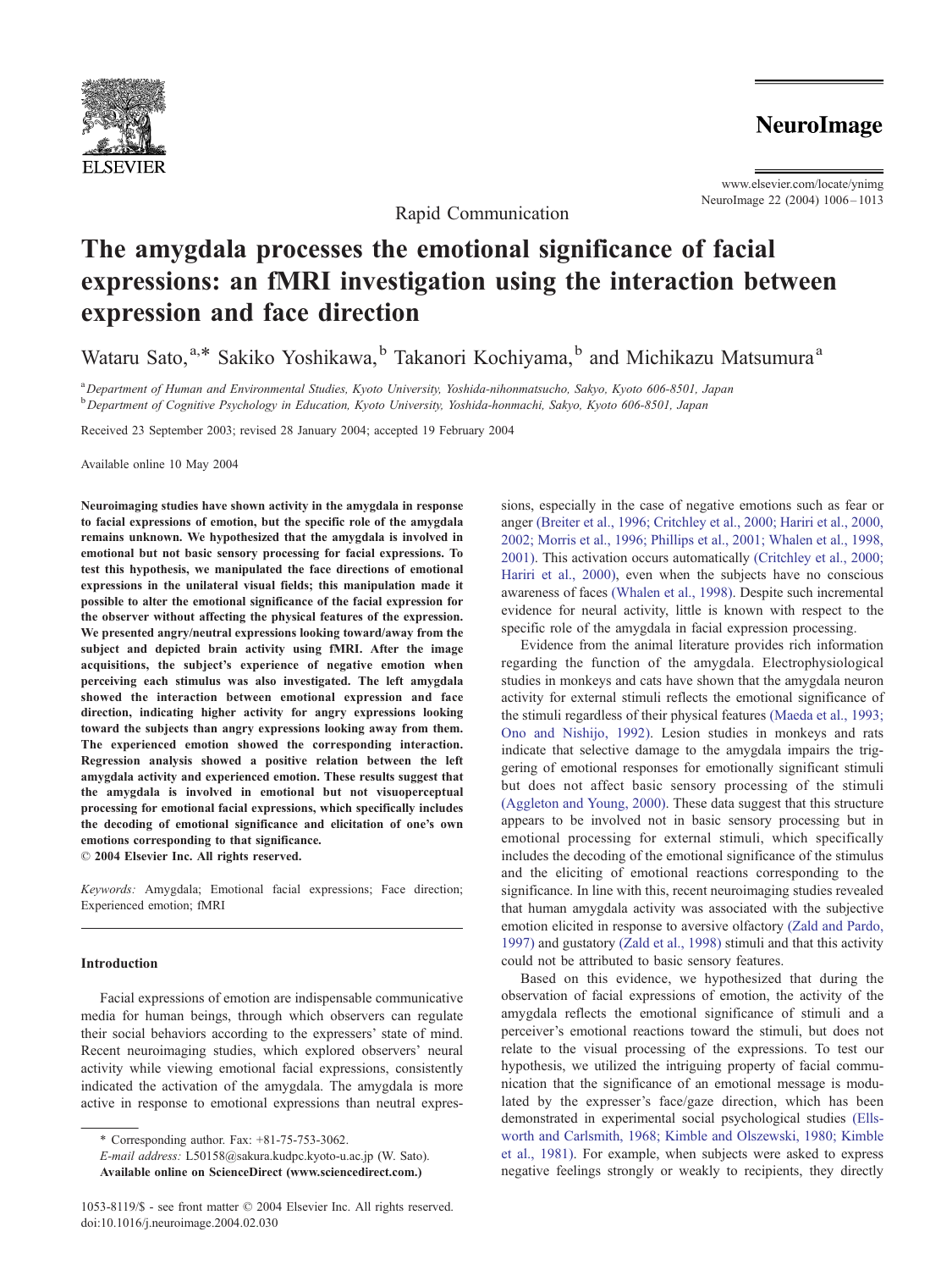

**NeuroImage** 

www.elsevier.com/locate/ynimg NeuroImage 22 (2004) 1006 – 1013

# The amygdala processes the emotional significance of facial expressions: an fMRI investigation using the interaction between expression and face direction

Rapid Communication

Wataru Sato, a,\* Sakiko Yoshikawa, <sup>b</sup> Takanori Kochiyama, <sup>b</sup> and Michikazu Matsumura<sup>a</sup>

a Department of Human and Environmental Studies, Kyoto University, Yoshida-nihonmatsucho, Sakyo, Kyoto 606-8501, Japan <sup>b</sup>Department of Cognitive Psychology in Education, Kyoto University, Yoshida-honmachi, Sakyo, Kyoto 606-8501, Japan

Received 23 September 2003; revised 28 January 2004; accepted 19 February 2004

Available online 10 May 2004

Neuroimaging studies have shown activity in the amygdala in response to facial expressions of emotion, but the specific role of the amygdala remains unknown. We hypothesized that the amygdala is involved in emotional but not basic sensory processing for facial expressions. To test this hypothesis, we manipulated the face directions of emotional expressions in the unilateral visual fields; this manipulation made it possible to alter the emotional significance of the facial expression for the observer without affecting the physical features of the expression. We presented angry/neutral expressions looking toward/away from the subject and depicted brain activity using fMRI. After the image acquisitions, the subject's experience of negative emotion when perceiving each stimulus was also investigated. The left amygdala showed the interaction between emotional expression and face direction, indicating higher activity for angry expressions looking toward the subjects than angry expressions looking away from them. The experienced emotion showed the corresponding interaction. Regression analysis showed a positive relation between the left amygdala activity and experienced emotion. These results suggest that the amygdala is involved in emotional but not visuoperceptual processing for emotional facial expressions, which specifically includes the decoding of emotional significance and elicitation of one's own emotions corresponding to that significance.

© 2004 Elsevier Inc. All rights reserved.

Keywords: Amygdala; Emotional facial expressions; Face direction; Experienced emotion; fMRI

## Introduction

Facial expressions of emotion are indispensable communicative media for human beings, through which observers can regulate their social behaviors according to the expressers' state of mind. Recent neuroimaging studies, which explored observers' neural activity while viewing emotional facial expressions, consistently indicated the activation of the amygdala. The amygdala is more active in response to emotional expressions than neutral expres-

E-mail address: L50158@sakura.kudpc.kyoto-u.ac.jp (W. Sato).

sions, especially in the case of negative emotions such as fear or anger [\(Breiter et al., 1996; Critchley et al., 2000; Hariri et al., 2000,](#page-6-0) 2002; Morris et al., 1996; Phillips et al., 2001; Whalen et al., 1998, 2001). This activation occurs automatically [\(Critchley et al., 2000;](#page-6-0) Hariri et al., 2000), even when the subjects have no conscious awareness of faces [\(Whalen et al., 1998\).](#page-6-0) Despite such incremental evidence for neural activity, little is known with respect to the specific role of the amygdala in facial expression processing.

Evidence from the animal literature provides rich information regarding the function of the amygdala. Electrophysiological studies in monkeys and cats have shown that the amygdala neuron activity for external stimuli reflects the emotional significance of the stimuli regardless of their physical features [\(Maeda et al., 1993;](#page-6-0) Ono and Nishijo, 1992). Lesion studies in monkeys and rats indicate that selective damage to the amygdala impairs the triggering of emotional responses for emotionally significant stimuli but does not affect basic sensory processing of the stimuli [\(Aggleton and Young, 2000\).](#page-6-0) These data suggest that this structure appears to be involved not in basic sensory processing but in emotional processing for external stimuli, which specifically includes the decoding of the emotional significance of the stimulus and the eliciting of emotional reactions corresponding to the significance. In line with this, recent neuroimaging studies revealed that human amygdala activity was associated with the subjective emotion elicited in response to aversive olfactory [\(Zald and Pardo,](#page-7-0) 1997) and gustatory [\(Zald et al., 1998\)](#page-7-0) stimuli and that this activity could not be attributed to basic sensory features.

Based on this evidence, we hypothesized that during the observation of facial expressions of emotion, the activity of the amygdala reflects the emotional significance of stimuli and a perceiver's emotional reactions toward the stimuli, but does not relate to the visual processing of the expressions. To test our hypothesis, we utilized the intriguing property of facial communication that the significance of an emotional message is modulated by the expresser's face/gaze direction, which has been demonstrated in experimental social psychological studies [\(Ells](#page-6-0)worth and Carlsmith, 1968; Kimble and Olszewski, 1980; Kimble et al., 1981). For example, when subjects were asked to express negative feelings strongly or weakly to recipients, they directly

<sup>\*</sup> Corresponding author. Fax: +81-75-753-3062.

Available online on ScienceDirect (www.sciencedirect.com.)

<sup>1053-8119/\$ -</sup> see front matter © 2004 Elsevier Inc. All rights reserved. doi:10.1016/j.neuroimage.2004.02.030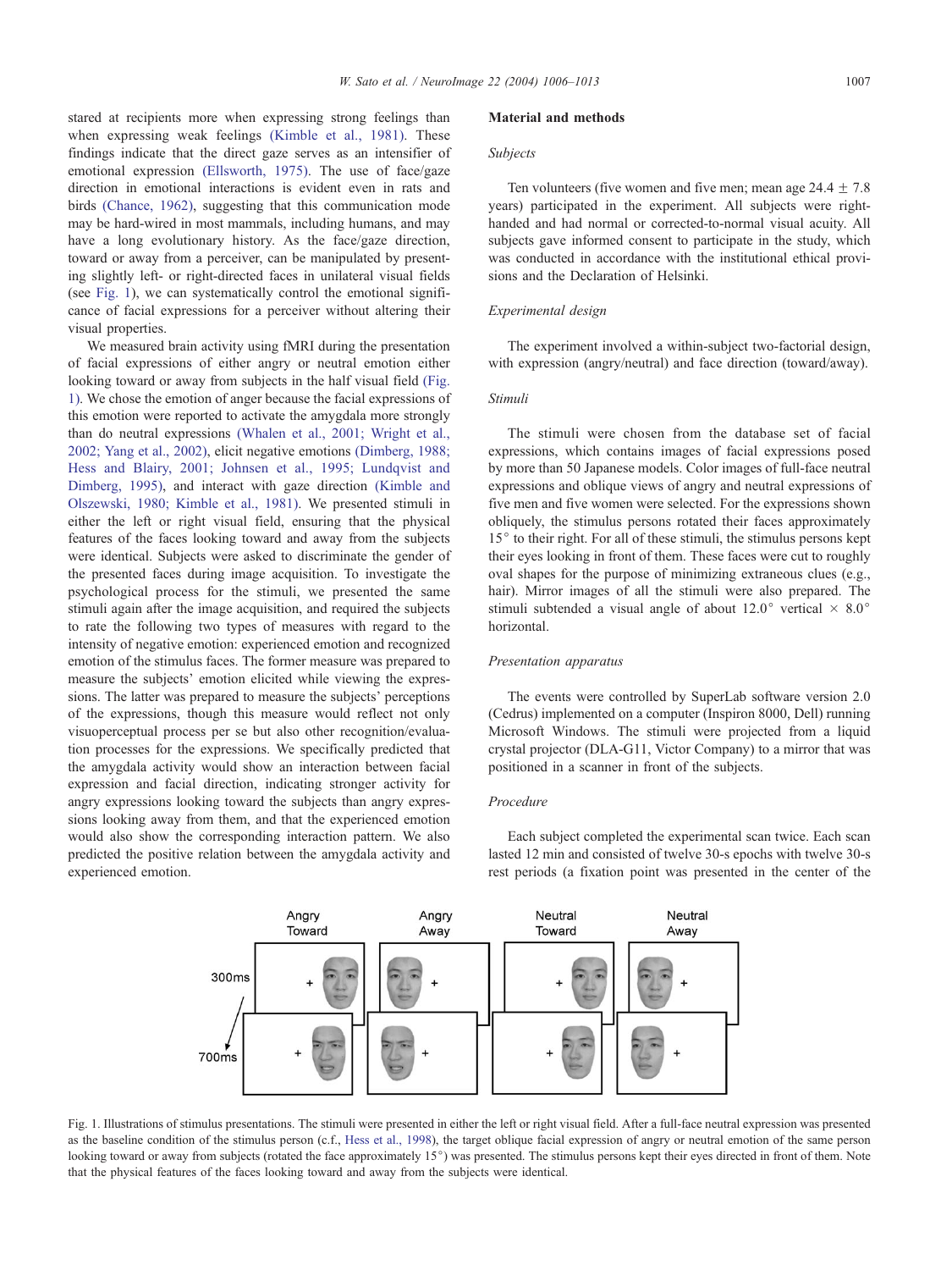<span id="page-1-0"></span>stared at recipients more when expressing strong feelings than when expressing weak feelings [\(Kimble et al., 1981\).](#page-6-0) These findings indicate that the direct gaze serves as an intensifier of emotional expression [\(Ellsworth, 1975\).](#page-6-0) The use of face/gaze direction in emotional interactions is evident even in rats and birds [\(Chance, 1962\),](#page-6-0) suggesting that this communication mode

may be hard-wired in most mammals, including humans, and may have a long evolutionary history. As the face/gaze direction, toward or away from a perceiver, can be manipulated by presenting slightly left- or right-directed faces in unilateral visual fields (see Fig. 1), we can systematically control the emotional significance of facial expressions for a perceiver without altering their visual properties.

We measured brain activity using fMRI during the presentation of facial expressions of either angry or neutral emotion either looking toward or away from subjects in the half visual field (Fig. 1). We chose the emotion of anger because the facial expressions of this emotion were reported to activate the amygdala more strongly than do neutral expressions [\(Whalen et al., 2001; Wright et al.,](#page-6-0) 2002; Yang et al., 2002), elicit negative emotions [\(Dimberg, 1988;](#page-6-0) Hess and Blairy, 2001; Johnsen et al., 1995; Lundqvist and Dimberg, 1995), and interact with gaze direction [\(Kimble and](#page-6-0) Olszewski, 1980; Kimble et al., 1981). We presented stimuli in either the left or right visual field, ensuring that the physical features of the faces looking toward and away from the subjects were identical. Subjects were asked to discriminate the gender of the presented faces during image acquisition. To investigate the psychological process for the stimuli, we presented the same stimuli again after the image acquisition, and required the subjects to rate the following two types of measures with regard to the intensity of negative emotion: experienced emotion and recognized emotion of the stimulus faces. The former measure was prepared to measure the subjects' emotion elicited while viewing the expressions. The latter was prepared to measure the subjects' perceptions of the expressions, though this measure would reflect not only visuoperceptual process per se but also other recognition/evaluation processes for the expressions. We specifically predicted that the amygdala activity would show an interaction between facial expression and facial direction, indicating stronger activity for angry expressions looking toward the subjects than angry expressions looking away from them, and that the experienced emotion would also show the corresponding interaction pattern. We also predicted the positive relation between the amygdala activity and experienced emotion.

#### Material and methods

## Subjects

Ten volunteers (five women and five men; mean age  $24.4 \pm 7.8$ years) participated in the experiment. All subjects were righthanded and had normal or corrected-to-normal visual acuity. All subjects gave informed consent to participate in the study, which was conducted in accordance with the institutional ethical provisions and the Declaration of Helsinki.

## Experimental design

The experiment involved a within-subject two-factorial design, with expression (angry/neutral) and face direction (toward/away).

## Stimuli

The stimuli were chosen from the database set of facial expressions, which contains images of facial expressions posed by more than 50 Japanese models. Color images of full-face neutral expressions and oblique views of angry and neutral expressions of five men and five women were selected. For the expressions shown obliquely, the stimulus persons rotated their faces approximately  $15<sup>°</sup>$  to their right. For all of these stimuli, the stimulus persons kept their eyes looking in front of them. These faces were cut to roughly oval shapes for the purpose of minimizing extraneous clues (e.g., hair). Mirror images of all the stimuli were also prepared. The stimuli subtended a visual angle of about 12.0° vertical  $\times$  8.0° horizontal.

#### Presentation apparatus

The events were controlled by SuperLab software version 2.0 (Cedrus) implemented on a computer (Inspiron 8000, Dell) running Microsoft Windows. The stimuli were projected from a liquid crystal projector (DLA-G11, Victor Company) to a mirror that was positioned in a scanner in front of the subjects.

## Procedure



Each subject completed the experimental scan twice. Each scan lasted 12 min and consisted of twelve 30-s epochs with twelve 30-s rest periods (a fixation point was presented in the center of the

Fig. 1. Illustrations of stimulus presentations. The stimuli were presented in either the left or right visual field. After a full-face neutral expression was presented as the baseline condition of the stimulus person (c.f., [Hess et al., 1998\)](#page-6-0), the target oblique facial expression of angry or neutral emotion of the same person looking toward or away from subjects (rotated the face approximately 15°) was presented. The stimulus persons kept their eyes directed in front of them. Note that the physical features of the faces looking toward and away from the subjects were identical.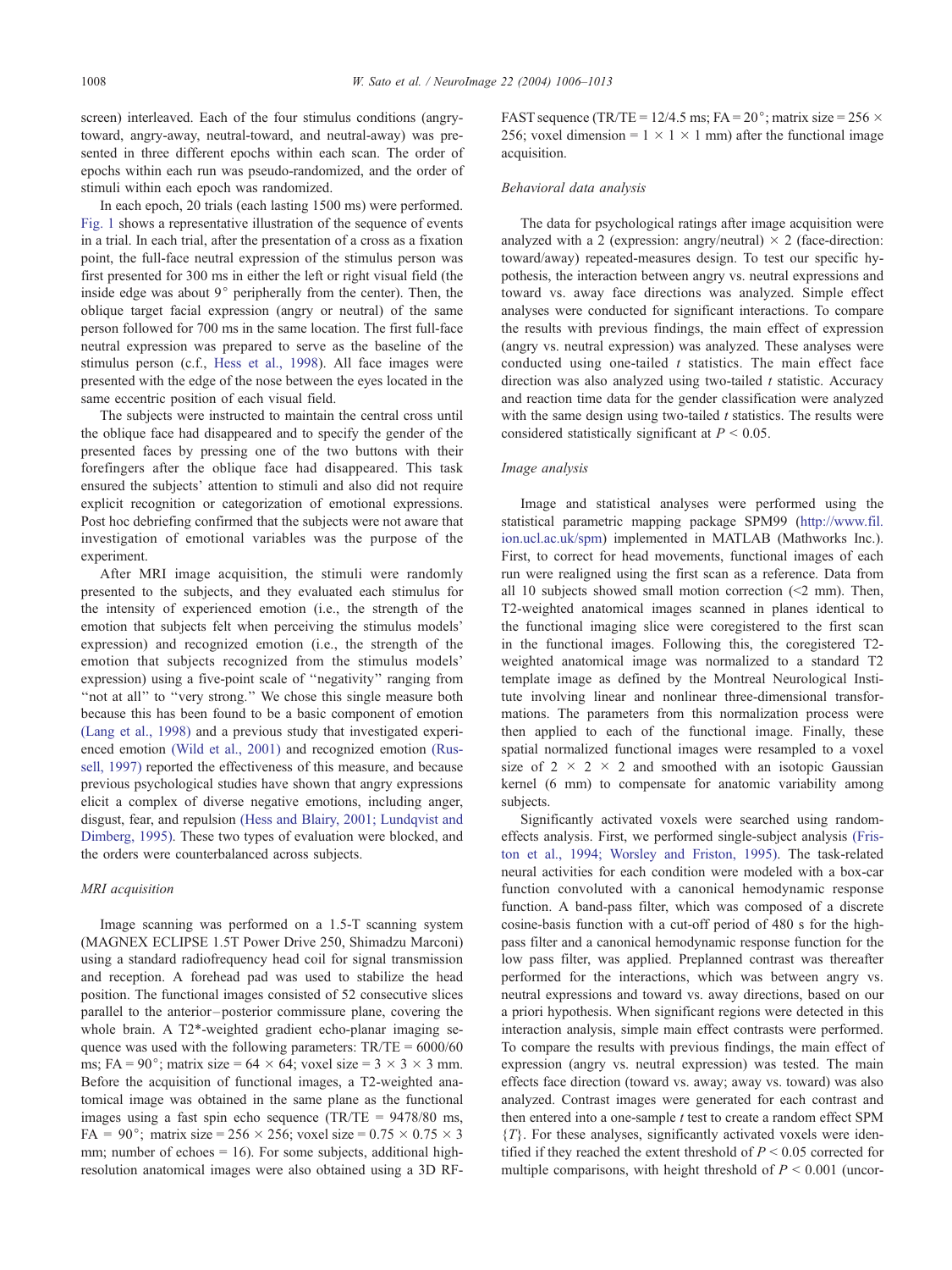screen) interleaved. Each of the four stimulus conditions (angrytoward, angry-away, neutral-toward, and neutral-away) was presented in three different epochs within each scan. The order of epochs within each run was pseudo-randomized, and the order of stimuli within each epoch was randomized.

In each epoch, 20 trials (each lasting 1500 ms) were performed. [Fig. 1](#page-1-0) shows a representative illustration of the sequence of events in a trial. In each trial, after the presentation of a cross as a fixation point, the full-face neutral expression of the stimulus person was first presented for 300 ms in either the left or right visual field (the inside edge was about  $9^{\circ}$  peripherally from the center). Then, the oblique target facial expression (angry or neutral) of the same person followed for 700 ms in the same location. The first full-face neutral expression was prepared to serve as the baseline of the stimulus person (c.f., [Hess et al., 1998\)](#page-6-0). All face images were presented with the edge of the nose between the eyes located in the same eccentric position of each visual field.

The subjects were instructed to maintain the central cross until the oblique face had disappeared and to specify the gender of the presented faces by pressing one of the two buttons with their forefingers after the oblique face had disappeared. This task ensured the subjects' attention to stimuli and also did not require explicit recognition or categorization of emotional expressions. Post hoc debriefing confirmed that the subjects were not aware that investigation of emotional variables was the purpose of the experiment.

After MRI image acquisition, the stimuli were randomly presented to the subjects, and they evaluated each stimulus for the intensity of experienced emotion (i.e., the strength of the emotion that subjects felt when perceiving the stimulus models' expression) and recognized emotion (i.e., the strength of the emotion that subjects recognized from the stimulus models' expression) using a five-point scale of ''negativity'' ranging from "not at all" to "very strong." We chose this single measure both because this has been found to be a basic component of emotion [\(Lang et al., 1998\)](#page-6-0) and a previous study that investigated experienced emotion [\(Wild et al., 2001\)](#page-6-0) and recognized emotion [\(Rus](#page-6-0)sell, 1997) reported the effectiveness of this measure, and because previous psychological studies have shown that angry expressions elicit a complex of diverse negative emotions, including anger, disgust, fear, and repulsion [\(Hess and Blairy, 2001; Lundqvist and](#page-6-0) Dimberg, 1995). These two types of evaluation were blocked, and the orders were counterbalanced across subjects.

## MRI acquisition

Image scanning was performed on a 1.5-T scanning system (MAGNEX ECLIPSE 1.5T Power Drive 250, Shimadzu Marconi) using a standard radiofrequency head coil for signal transmission and reception. A forehead pad was used to stabilize the head position. The functional images consisted of 52 consecutive slices parallel to the anterior – posterior commissure plane, covering the whole brain. A T2\*-weighted gradient echo-planar imaging sequence was used with the following parameters:  $TR/TE = 6000/60$ ms; FA =  $90^{\circ}$ ; matrix size =  $64 \times 64$ ; voxel size =  $3 \times 3 \times 3$  mm. Before the acquisition of functional images, a T2-weighted anatomical image was obtained in the same plane as the functional images using a fast spin echo sequence (TR/TE = 9478/80 ms, FA = 90°; matrix size = 256  $\times$  256; voxel size = 0.75  $\times$  0.75  $\times$  3 mm; number of echoes  $= 16$ ). For some subjects, additional highresolution anatomical images were also obtained using a 3D RF-

FAST sequence (TR/TE =  $12/4.5$  ms; FA =  $20^{\circ}$ ; matrix size =  $256 \times$ 256; voxel dimension =  $1 \times 1 \times 1$  mm) after the functional image acquisition.

#### Behavioral data analysis

The data for psychological ratings after image acquisition were analyzed with a 2 (expression: angry/neutral)  $\times$  2 (face-direction: toward/away) repeated-measures design. To test our specific hypothesis, the interaction between angry vs. neutral expressions and toward vs. away face directions was analyzed. Simple effect analyses were conducted for significant interactions. To compare the results with previous findings, the main effect of expression (angry vs. neutral expression) was analyzed. These analyses were conducted using one-tailed  $t$  statistics. The main effect face direction was also analyzed using two-tailed  $t$  statistic. Accuracy and reaction time data for the gender classification were analyzed with the same design using two-tailed  $t$  statistics. The results were considered statistically significant at  $P < 0.05$ .

#### Image analysis

Image and statistical analyses were performed using the statistical parametric mapping package SPM99 (http://www.fil. ion.ucl.ac.uk/spm) implemented in MATLAB (Mathworks Inc.). First, to correct for head movements, functional images of each run were realigned using the first scan as a reference. Data from all 10 subjects showed small motion correction  $\leq 2$  mm). Then, T2-weighted anatomical images scanned in planes identical to the functional imaging slice were coregistered to the first scan in the functional images. Following this, the coregistered T2 weighted anatomical image was normalized to a standard T2 template image as defined by the Montreal Neurological Institute involving linear and nonlinear three-dimensional transformations. The parameters from this normalization process were then applied to each of the functional image. Finally, these spatial normalized functional images were resampled to a voxel size of  $2 \times 2 \times 2$  and smoothed with an isotopic Gaussian kernel (6 mm) to compensate for anatomic variability among subjects.

Significantly activated voxels were searched using randomeffects analysis. First, we performed single-subject analysis [\(Fris](#page-6-0)ton et al., 1994; Worsley and Friston, 1995). The task-related neural activities for each condition were modeled with a box-car function convoluted with a canonical hemodynamic response function. A band-pass filter, which was composed of a discrete cosine-basis function with a cut-off period of 480 s for the highpass filter and a canonical hemodynamic response function for the low pass filter, was applied. Preplanned contrast was thereafter performed for the interactions, which was between angry vs. neutral expressions and toward vs. away directions, based on our a priori hypothesis. When significant regions were detected in this interaction analysis, simple main effect contrasts were performed. To compare the results with previous findings, the main effect of expression (angry vs. neutral expression) was tested. The main effects face direction (toward vs. away; away vs. toward) was also analyzed. Contrast images were generated for each contrast and then entered into a one-sample  $t$  test to create a random effect SPM  ${T}$ . For these analyses, significantly activated voxels were identified if they reached the extent threshold of  $P \le 0.05$  corrected for multiple comparisons, with height threshold of  $P \le 0.001$  (uncor-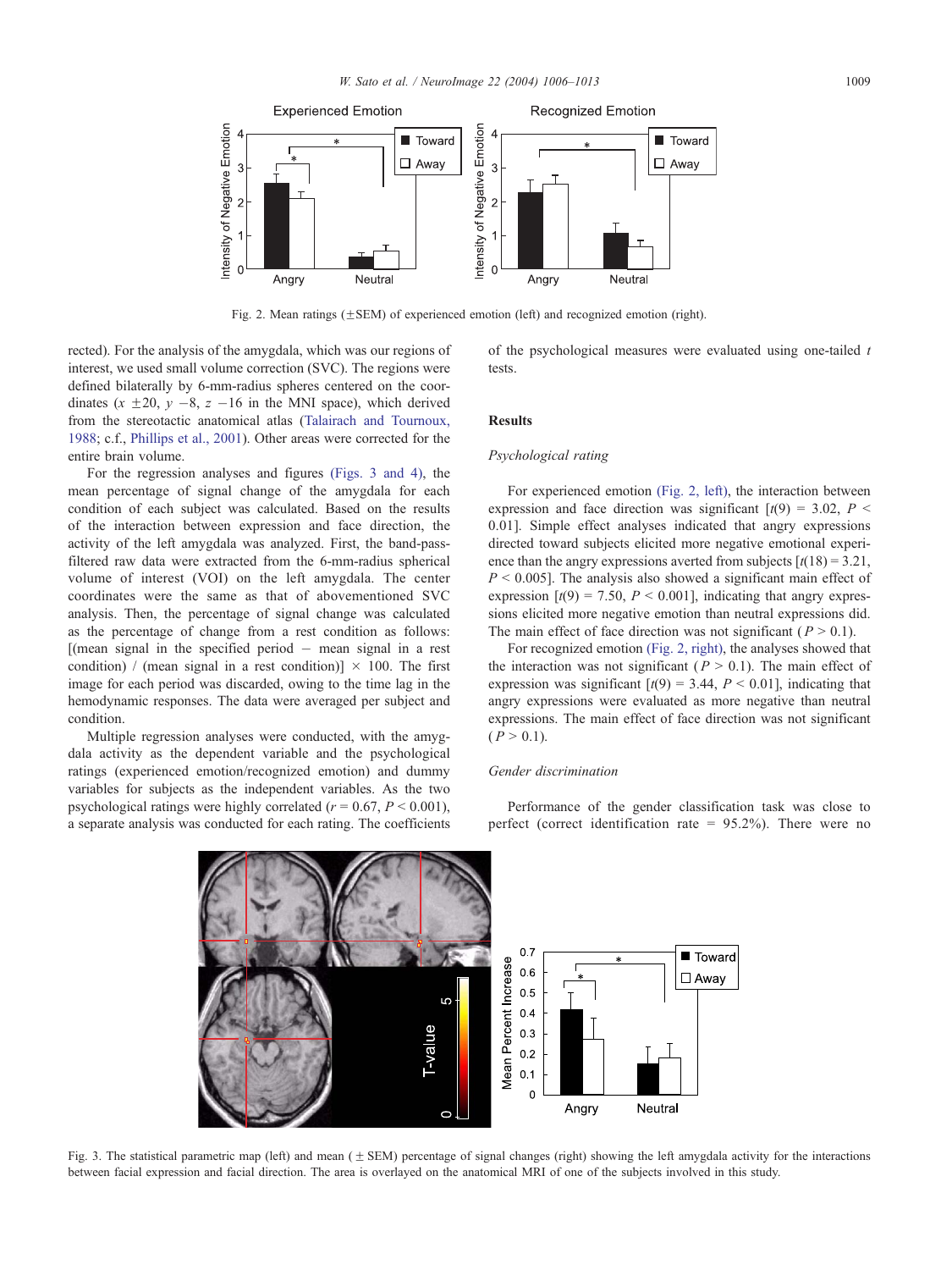<span id="page-3-0"></span>

Fig. 2. Mean ratings  $(\pm$  SEM) of experienced emotion (left) and recognized emotion (right).

rected). For the analysis of the amygdala, which was our regions of interest, we used small volume correction (SVC). The regions were defined bilaterally by 6-mm-radius spheres centered on the coordinates  $(x \pm 20, y -8, z -16$  in the MNI space), which derived from the stereotactic anatomical atlas ([Talairach and Tournoux,](#page-6-0) 1988; c.f., [Phillips et al., 2001\)](#page-6-0). Other areas were corrected for the entire brain volume.

For the regression analyses and figures (Figs. 3 and 4), the mean percentage of signal change of the amygdala for each condition of each subject was calculated. Based on the results of the interaction between expression and face direction, the activity of the left amygdala was analyzed. First, the band-passfiltered raw data were extracted from the 6-mm-radius spherical volume of interest (VOI) on the left amygdala. The center coordinates were the same as that of abovementioned SVC analysis. Then, the percentage of signal change was calculated as the percentage of change from a rest condition as follows:  $[$ (mean signal in the specified period  $-$  mean signal in a rest condition) / (mean signal in a rest condition)]  $\times$  100. The first image for each period was discarded, owing to the time lag in the hemodynamic responses. The data were averaged per subject and condition.

Multiple regression analyses were conducted, with the amygdala activity as the dependent variable and the psychological ratings (experienced emotion/recognized emotion) and dummy variables for subjects as the independent variables. As the two psychological ratings were highly correlated ( $r = 0.67$ ,  $P \le 0.001$ ), a separate analysis was conducted for each rating. The coefficients of the psychological measures were evaluated using one-tailed  $t$ tests.

# Results

## Psychological rating

For experienced emotion (Fig. 2, left), the interaction between expression and face direction was significant  $[t(9) = 3.02, P \le$ 0.01]. Simple effect analyses indicated that angry expressions directed toward subjects elicited more negative emotional experience than the angry expressions averted from subjects  $[t(18) = 3.21]$ ,  $P \le 0.005$ ]. The analysis also showed a significant main effect of expression  $[t(9) = 7.50, P \le 0.001]$ , indicating that angry expressions elicited more negative emotion than neutral expressions did. The main effect of face direction was not significant ( $P > 0.1$ ).

For recognized emotion (Fig. 2, right), the analyses showed that the interaction was not significant ( $P > 0.1$ ). The main effect of expression was significant  $[t(9) = 3.44, P < 0.01]$ , indicating that angry expressions were evaluated as more negative than neutral expressions. The main effect of face direction was not significant  $(P > 0.1)$ .

#### Gender discrimination

Performance of the gender classification task was close to perfect (correct identification rate  $= 95.2\%$ ). There were no



Fig. 3. The statistical parametric map (left) and mean ( + SEM) percentage of signal changes (right) showing the left amygdala activity for the interactions between facial expression and facial direction. The area is overlayed on the anatomical MRI of one of the subjects involved in this study.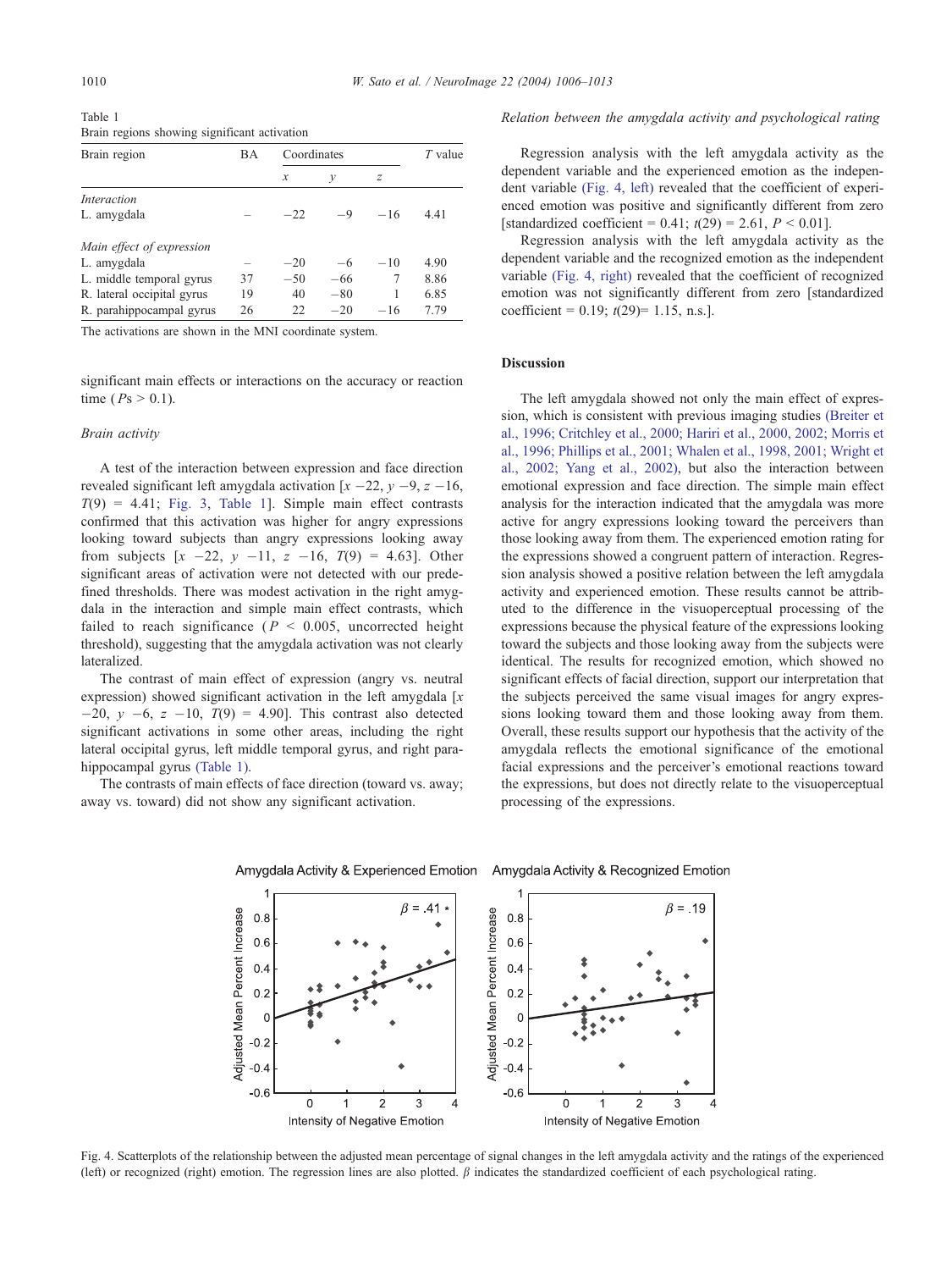Table 1 Brain regions showing significant activation

| Brain region               | ВA | Coordinates   |       |       | $T$ value |
|----------------------------|----|---------------|-------|-------|-----------|
|                            |    | $\mathcal{X}$ | v     | z     |           |
| Interaction                |    |               |       |       |           |
| L. amygdala                |    | $-22$         | $-9$  | $-16$ | 4.41      |
| Main effect of expression  |    |               |       |       |           |
| L. amygdala                |    | $-20$         | $-6$  | $-10$ | 4.90      |
| L. middle temporal gyrus   | 37 | $-50$         | $-66$ | 7     | 8.86      |
| R. lateral occipital gyrus | 19 | 40            | $-80$ | 1     | 6.85      |
| R. parahippocampal gyrus   | 26 | 22            | $-20$ | $-16$ | 7.79      |

The activations are shown in the MNI coordinate system.

significant main effects or interactions on the accuracy or reaction time ( $Ps > 0.1$ ).

## Brain activity

A test of the interaction between expression and face direction revealed significant left amygdala activation  $[x -22, y -9, z -16,$  $T(9) = 4.41$ ; [Fig. 3,](#page-3-0) Table 1]. Simple main effect contrasts confirmed that this activation was higher for angry expressions looking toward subjects than angry expressions looking away from subjects  $[x -22, y -11, z -16, T(9) = 4.63]$ . Other significant areas of activation were not detected with our predefined thresholds. There was modest activation in the right amygdala in the interaction and simple main effect contrasts, which failed to reach significance ( $P < 0.005$ , uncorrected height threshold), suggesting that the amygdala activation was not clearly lateralized.

The contrast of main effect of expression (angry vs. neutral expression) showed significant activation in the left amygdala  $[x]$  $-20$ ,  $y$   $-6$ ,  $z$   $-10$ ,  $T(9)$  = 4.90]. This contrast also detected significant activations in some other areas, including the right lateral occipital gyrus, left middle temporal gyrus, and right parahippocampal gyrus (Table 1).

The contrasts of main effects of face direction (toward vs. away; away vs. toward) did not show any significant activation.

#### Relation between the amygdala activity and psychological rating

Regression analysis with the left amygdala activity as the dependent variable and the experienced emotion as the independent variable (Fig. 4, left) revealed that the coefficient of experienced emotion was positive and significantly different from zero [standardized coefficient = 0.41;  $t(29) = 2.61$ ,  $P < 0.01$ ].

Regression analysis with the left amygdala activity as the dependent variable and the recognized emotion as the independent variable (Fig. 4, right) revealed that the coefficient of recognized emotion was not significantly different from zero [standardized coefficient =  $0.19$ ;  $t(29)$ = 1.15, n.s.].

#### Discussion

The left amygdala showed not only the main effect of expression, which is consistent with previous imaging studies [\(Breiter et](#page-6-0) al., 1996; Critchley et al., 2000; Hariri et al., 2000, 2002; Morris et al., 1996; Phillips et al., 2001; Whalen et al., 1998, 2001; Wright et al., 2002; Yang et al., 2002), but also the interaction between emotional expression and face direction. The simple main effect analysis for the interaction indicated that the amygdala was more active for angry expressions looking toward the perceivers than those looking away from them. The experienced emotion rating for the expressions showed a congruent pattern of interaction. Regression analysis showed a positive relation between the left amygdala activity and experienced emotion. These results cannot be attributed to the difference in the visuoperceptual processing of the expressions because the physical feature of the expressions looking toward the subjects and those looking away from the subjects were identical. The results for recognized emotion, which showed no significant effects of facial direction, support our interpretation that the subjects perceived the same visual images for angry expressions looking toward them and those looking away from them. Overall, these results support our hypothesis that the activity of the amygdala reflects the emotional significance of the emotional facial expressions and the perceiver's emotional reactions toward the expressions, but does not directly relate to the visuoperceptual processing of the expressions.



Amygdala Activity & Experienced Emotion Amygdala Activity & Recognized Emotion

Fig. 4. Scatterplots of the relationship between the adjusted mean percentage of signal changes in the left amygdala activity and the ratings of the experienced (left) or recognized (right) emotion. The regression lines are also plotted.  $\beta$  indicates the standardized coefficient of each psychological rating.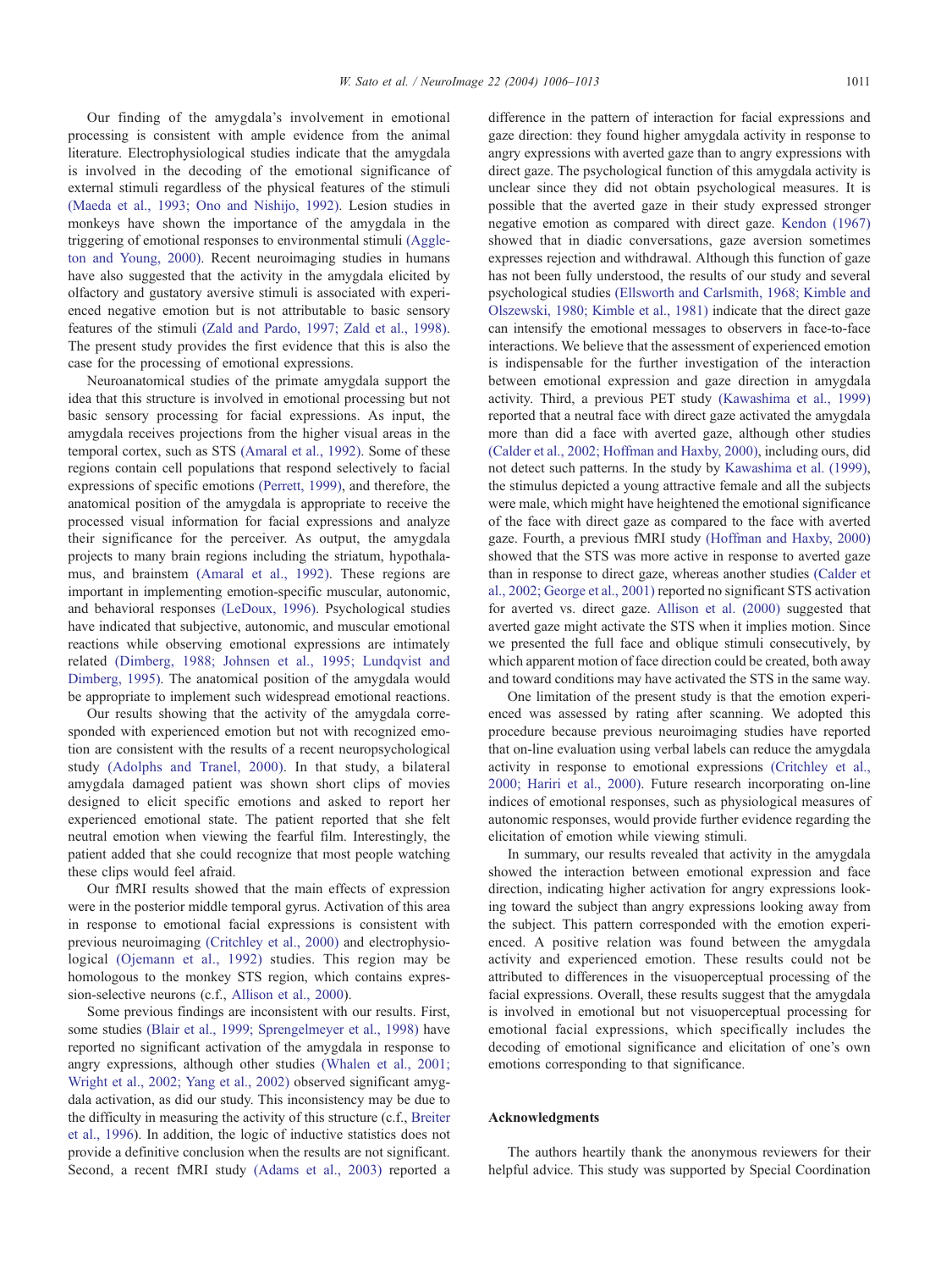Our finding of the amygdala's involvement in emotional processing is consistent with ample evidence from the animal literature. Electrophysiological studies indicate that the amygdala is involved in the decoding of the emotional significance of external stimuli regardless of the physical features of the stimuli [\(Maeda et al., 1993; Ono and Nishijo, 1992\).](#page-6-0) Lesion studies in monkeys have shown the importance of the amygdala in the triggering of emotional responses to environmental stimuli [\(Aggle](#page-6-0)ton and Young, 2000). Recent neuroimaging studies in humans have also suggested that the activity in the amygdala elicited by olfactory and gustatory aversive stimuli is associated with experienced negative emotion but is not attributable to basic sensory features of the stimuli [\(Zald and Pardo, 1997; Zald et al., 1998\).](#page-7-0) The present study provides the first evidence that this is also the case for the processing of emotional expressions.

Neuroanatomical studies of the primate amygdala support the idea that this structure is involved in emotional processing but not basic sensory processing for facial expressions. As input, the amygdala receives projections from the higher visual areas in the temporal cortex, such as STS [\(Amaral et al., 1992\).](#page-6-0) Some of these regions contain cell populations that respond selectively to facial expressions of specific emotions [\(Perrett, 1999\),](#page-6-0) and therefore, the anatomical position of the amygdala is appropriate to receive the processed visual information for facial expressions and analyze their significance for the perceiver. As output, the amygdala projects to many brain regions including the striatum, hypothalamus, and brainstem [\(Amaral et al., 1992\).](#page-6-0) These regions are important in implementing emotion-specific muscular, autonomic, and behavioral responses [\(LeDoux, 1996\).](#page-6-0) Psychological studies have indicated that subjective, autonomic, and muscular emotional reactions while observing emotional expressions are intimately related [\(Dimberg, 1988; Johnsen et al., 1995; Lundqvist and](#page-6-0) Dimberg, 1995). The anatomical position of the amygdala would be appropriate to implement such widespread emotional reactions.

Our results showing that the activity of the amygdala corresponded with experienced emotion but not with recognized emotion are consistent with the results of a recent neuropsychological study [\(Adolphs and Tranel, 2000\).](#page-6-0) In that study, a bilateral amygdala damaged patient was shown short clips of movies designed to elicit specific emotions and asked to report her experienced emotional state. The patient reported that she felt neutral emotion when viewing the fearful film. Interestingly, the patient added that she could recognize that most people watching these clips would feel afraid.

Our fMRI results showed that the main effects of expression were in the posterior middle temporal gyrus. Activation of this area in response to emotional facial expressions is consistent with previous neuroimaging [\(Critchley et al., 2000\)](#page-6-0) and electrophysiological [\(Ojemann et al., 1992\)](#page-6-0) studies. This region may be homologous to the monkey STS region, which contains expression-selective neurons (c.f., [Allison et al., 2000\)](#page-6-0).

Some previous findings are inconsistent with our results. First, some studies [\(Blair et al., 1999; Sprengelmeyer et al., 1998\)](#page-6-0) have reported no significant activation of the amygdala in response to angry expressions, although other studies [\(Whalen et al., 2001;](#page-6-0) Wright et al., 2002; Yang et al., 2002) observed significant amygdala activation, as did our study. This inconsistency may be due to the difficulty in measuring the activity of this structure (c.f., [Breiter](#page-6-0) et al., 1996). In addition, the logic of inductive statistics does not provide a definitive conclusion when the results are not significant. Second, a recent fMRI study [\(Adams et al., 2003\)](#page-6-0) reported a

difference in the pattern of interaction for facial expressions and gaze direction: they found higher amygdala activity in response to angry expressions with averted gaze than to angry expressions with direct gaze. The psychological function of this amygdala activity is unclear since they did not obtain psychological measures. It is possible that the averted gaze in their study expressed stronger negative emotion as compared with direct gaze. [Kendon \(1967\)](#page-6-0) showed that in diadic conversations, gaze aversion sometimes expresses rejection and withdrawal. Although this function of gaze has not been fully understood, the results of our study and several psychological studies [\(Ellsworth and Carlsmith, 1968; Kimble and](#page-6-0) Olszewski, 1980; Kimble et al., 1981) indicate that the direct gaze can intensify the emotional messages to observers in face-to-face interactions. We believe that the assessment of experienced emotion is indispensable for the further investigation of the interaction between emotional expression and gaze direction in amygdala activity. Third, a previous PET study [\(Kawashima et al., 1999\)](#page-6-0) reported that a neutral face with direct gaze activated the amygdala more than did a face with averted gaze, although other studies [\(Calder et al., 2002; Hoffman and Haxby, 2000\),](#page-6-0) including ours, did not detect such patterns. In the study by [Kawashima et al. \(1999\),](#page-6-0) the stimulus depicted a young attractive female and all the subjects were male, which might have heightened the emotional significance of the face with direct gaze as compared to the face with averted gaze. Fourth, a previous fMRI study [\(Hoffman and Haxby, 2000\)](#page-6-0) showed that the STS was more active in response to averted gaze than in response to direct gaze, whereas another studies [\(Calder et](#page-6-0) al., 2002; George et al., 2001) reported no significant STS activation for averted vs. direct gaze. [Allison et al. \(2000\)](#page-6-0) suggested that averted gaze might activate the STS when it implies motion. Since we presented the full face and oblique stimuli consecutively, by which apparent motion of face direction could be created, both away and toward conditions may have activated the STS in the same way.

One limitation of the present study is that the emotion experienced was assessed by rating after scanning. We adopted this procedure because previous neuroimaging studies have reported that on-line evaluation using verbal labels can reduce the amygdala activity in response to emotional expressions [\(Critchley et al.,](#page-6-0) 2000; Hariri et al., 2000). Future research incorporating on-line indices of emotional responses, such as physiological measures of autonomic responses, would provide further evidence regarding the elicitation of emotion while viewing stimuli.

In summary, our results revealed that activity in the amygdala showed the interaction between emotional expression and face direction, indicating higher activation for angry expressions looking toward the subject than angry expressions looking away from the subject. This pattern corresponded with the emotion experienced. A positive relation was found between the amygdala activity and experienced emotion. These results could not be attributed to differences in the visuoperceptual processing of the facial expressions. Overall, these results suggest that the amygdala is involved in emotional but not visuoperceptual processing for emotional facial expressions, which specifically includes the decoding of emotional significance and elicitation of one's own emotions corresponding to that significance.

#### Acknowledgments

The authors heartily thank the anonymous reviewers for their helpful advice. This study was supported by Special Coordination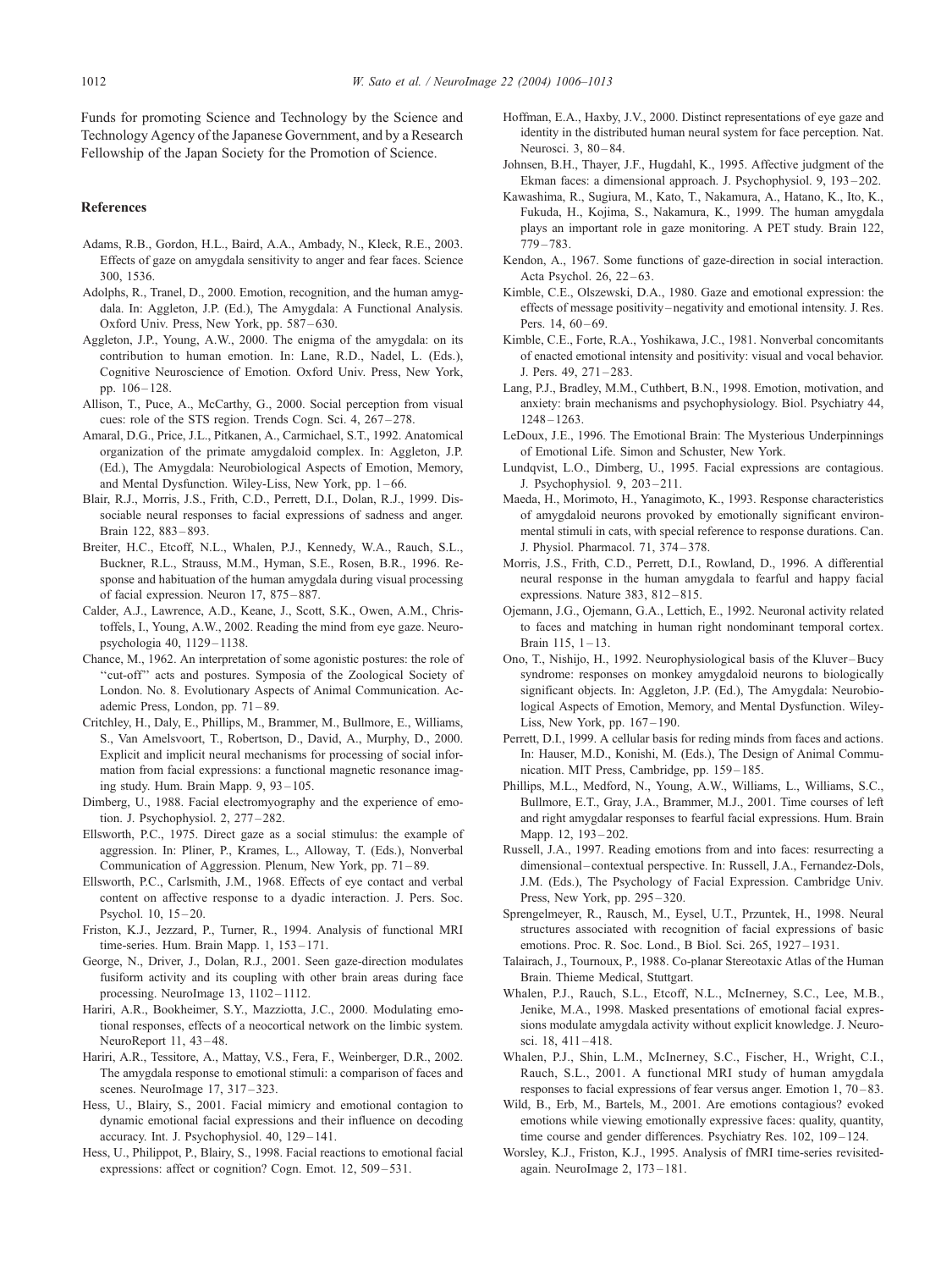<span id="page-6-0"></span>Funds for promoting Science and Technology by the Science and Technology Agency of the Japanese Government, and by a Research Fellowship of the Japan Society for the Promotion of Science.

## References

- Adams, R.B., Gordon, H.L., Baird, A.A., Ambady, N., Kleck, R.E., 2003. Effects of gaze on amygdala sensitivity to anger and fear faces. Science 300, 1536.
- Adolphs, R., Tranel, D., 2000. Emotion, recognition, and the human amygdala. In: Aggleton, J.P. (Ed.), The Amygdala: A Functional Analysis. Oxford Univ. Press, New York, pp. 587-630.
- Aggleton, J.P., Young, A.W., 2000. The enigma of the amygdala: on its contribution to human emotion. In: Lane, R.D., Nadel, L. (Eds.), Cognitive Neuroscience of Emotion. Oxford Univ. Press, New York, pp. 106 – 128.
- Allison, T., Puce, A., McCarthy, G., 2000. Social perception from visual cues: role of the STS region. Trends Cogn. Sci. 4, 267-278.
- Amaral, D.G., Price, J.L., Pitkanen, A., Carmichael, S.T., 1992. Anatomical organization of the primate amygdaloid complex. In: Aggleton, J.P. (Ed.), The Amygdala: Neurobiological Aspects of Emotion, Memory, and Mental Dysfunction. Wiley-Liss, New York, pp. 1-66.
- Blair, R.J., Morris, J.S., Frith, C.D., Perrett, D.I., Dolan, R.J., 1999. Dissociable neural responses to facial expressions of sadness and anger. Brain 122, 883 – 893.
- Breiter, H.C., Etcoff, N.L., Whalen, P.J., Kennedy, W.A., Rauch, S.L., Buckner, R.L., Strauss, M.M., Hyman, S.E., Rosen, B.R., 1996. Response and habituation of the human amygdala during visual processing of facial expression. Neuron 17, 875 – 887.
- Calder, A.J., Lawrence, A.D., Keane, J., Scott, S.K., Owen, A.M., Christoffels, I., Young, A.W., 2002. Reading the mind from eye gaze. Neuropsychologia 40, 1129 – 1138.
- Chance, M., 1962. An interpretation of some agonistic postures: the role of ''cut-off'' acts and postures. Symposia of the Zoological Society of London. No. 8. Evolutionary Aspects of Animal Communication. Academic Press, London, pp.  $71 - 89$ .
- Critchley, H., Daly, E., Phillips, M., Brammer, M., Bullmore, E., Williams, S., Van Amelsvoort, T., Robertson, D., David, A., Murphy, D., 2000. Explicit and implicit neural mechanisms for processing of social information from facial expressions: a functional magnetic resonance imaging study. Hum. Brain Mapp. 9, 93 – 105.
- Dimberg, U., 1988. Facial electromyography and the experience of emotion. J. Psychophysiol. 2, 277 – 282.
- Ellsworth, P.C., 1975. Direct gaze as a social stimulus: the example of aggression. In: Pliner, P., Krames, L., Alloway, T. (Eds.), Nonverbal Communication of Aggression. Plenum, New York, pp. 71 – 89.
- Ellsworth, P.C., Carlsmith, J.M., 1968. Effects of eye contact and verbal content on affective response to a dyadic interaction. J. Pers. Soc. Psychol. 10, 15 – 20.
- Friston, K.J., Jezzard, P., Turner, R., 1994. Analysis of functional MRI time-series. Hum. Brain Mapp. 1, 153 – 171.
- George, N., Driver, J., Dolan, R.J., 2001. Seen gaze-direction modulates fusiform activity and its coupling with other brain areas during face processing. NeuroImage 13, 1102-1112.
- Hariri, A.R., Bookheimer, S.Y., Mazziotta, J.C., 2000. Modulating emotional responses, effects of a neocortical network on the limbic system. NeuroReport 11, 43-48.
- Hariri, A.R., Tessitore, A., Mattay, V.S., Fera, F., Weinberger, D.R., 2002. The amygdala response to emotional stimuli: a comparison of faces and scenes. NeuroImage 17, 317-323.
- Hess, U., Blairy, S., 2001. Facial mimicry and emotional contagion to dynamic emotional facial expressions and their influence on decoding accuracy. Int. J. Psychophysiol. 40, 129-141.
- Hess, U., Philippot, P., Blairy, S., 1998. Facial reactions to emotional facial expressions: affect or cognition? Cogn. Emot. 12, 509-531.
- Hoffman, E.A., Haxby, J.V., 2000. Distinct representations of eye gaze and identity in the distributed human neural system for face perception. Nat. Neurosci. 3, 80 – 84.
- Johnsen, B.H., Thayer, J.F., Hugdahl, K., 1995. Affective judgment of the Ekman faces: a dimensional approach. J. Psychophysiol. 9, 193 – 202.
- Kawashima, R., Sugiura, M., Kato, T., Nakamura, A., Hatano, K., Ito, K., Fukuda, H., Kojima, S., Nakamura, K., 1999. The human amygdala plays an important role in gaze monitoring. A PET study. Brain 122, 779 – 783.
- Kendon, A., 1967. Some functions of gaze-direction in social interaction. Acta Psychol. 26, 22–63.
- Kimble, C.E., Olszewski, D.A., 1980. Gaze and emotional expression: the effects of message positivity – negativity and emotional intensity. J. Res. Pers.  $14, 60 - 69$ .
- Kimble, C.E., Forte, R.A., Yoshikawa, J.C., 1981. Nonverbal concomitants of enacted emotional intensity and positivity: visual and vocal behavior. J. Pers. 49, 271 – 283.
- Lang, P.J., Bradley, M.M., Cuthbert, B.N., 1998. Emotion, motivation, and anxiety: brain mechanisms and psychophysiology. Biol. Psychiatry 44, 1248 – 1263.
- LeDoux, J.E., 1996. The Emotional Brain: The Mysterious Underpinnings of Emotional Life. Simon and Schuster, New York.
- Lundqvist, L.O., Dimberg, U., 1995. Facial expressions are contagious. J. Psychophysiol. 9, 203 – 211.
- Maeda, H., Morimoto, H., Yanagimoto, K., 1993. Response characteristics of amygdaloid neurons provoked by emotionally significant environmental stimuli in cats, with special reference to response durations. Can. J. Physiol. Pharmacol. 71, 374 – 378.
- Morris, J.S., Frith, C.D., Perrett, D.I., Rowland, D., 1996. A differential neural response in the human amygdala to fearful and happy facial expressions. Nature 383, 812-815.
- Ojemann, J.G., Ojemann, G.A., Lettich, E., 1992. Neuronal activity related to faces and matching in human right nondominant temporal cortex. Brain  $115, 1 - 13$ .
- Ono, T., Nishijo, H., 1992. Neurophysiological basis of the Kluver-Bucy syndrome: responses on monkey amygdaloid neurons to biologically significant objects. In: Aggleton, J.P. (Ed.), The Amygdala: Neurobiological Aspects of Emotion, Memory, and Mental Dysfunction. Wiley-Liss, New York, pp.  $167 - 190$ .
- Perrett, D.I., 1999. A cellular basis for reding minds from faces and actions. In: Hauser, M.D., Konishi, M. (Eds.), The Design of Animal Communication. MIT Press, Cambridge, pp. 159–185.
- Phillips, M.L., Medford, N., Young, A.W., Williams, L., Williams, S.C., Bullmore, E.T., Gray, J.A., Brammer, M.J., 2001. Time courses of left and right amygdalar responses to fearful facial expressions. Hum. Brain Mapp. 12, 193-202.
- Russell, J.A., 1997. Reading emotions from and into faces: resurrecting a dimensional – contextual perspective. In: Russell, J.A., Fernandez-Dols, J.M. (Eds.), The Psychology of Facial Expression. Cambridge Univ. Press, New York, pp. 295 – 320.
- Sprengelmeyer, R., Rausch, M., Eysel, U.T., Przuntek, H., 1998. Neural structures associated with recognition of facial expressions of basic emotions. Proc. R. Soc. Lond., B Biol. Sci. 265, 1927-1931.
- Talairach, J., Tournoux, P., 1988. Co-planar Stereotaxic Atlas of the Human Brain. Thieme Medical, Stuttgart.
- Whalen, P.J., Rauch, S.L., Etcoff, N.L., McInerney, S.C., Lee, M.B., Jenike, M.A., 1998. Masked presentations of emotional facial expressions modulate amygdala activity without explicit knowledge. J. Neurosci. 18, 411 – 418.
- Whalen, P.J., Shin, L.M., McInerney, S.C., Fischer, H., Wright, C.I., Rauch, S.L., 2001. A functional MRI study of human amygdala responses to facial expressions of fear versus anger. Emotion 1, 70 – 83.
- Wild, B., Erb, M., Bartels, M., 2001. Are emotions contagious? evoked emotions while viewing emotionally expressive faces: quality, quantity, time course and gender differences. Psychiatry Res. 102, 109–124.
- Worsley, K.J., Friston, K.J., 1995. Analysis of fMRI time-series revisitedagain. NeuroImage 2, 173 – 181.